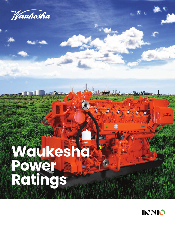Waukesha

# ■■■ **Waukesha Power Ratings**

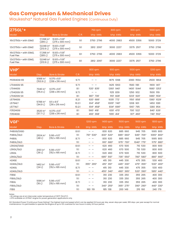# **Gas Compression & Mechanical Drives**

Waukesha\* Natural Gas Fueled Engines (Continuous Duty)

| $275GL+$                                 |                                       |                                          |      | 750 rpm   | 800 rpm   | 900 rpm   | $1000$ rpm |
|------------------------------------------|---------------------------------------|------------------------------------------|------|-----------|-----------|-----------|------------|
| Model                                    | Disp.                                 | Bore & Stroke                            | C.R. | bhp kWb   | bhp kWb   | bhp kWb   | bhp kWb    |
| 16V275GL+ with ESM2                      | $17.398$ in <sup>3</sup><br>(285 L)   | $10.83 \times 11.81$<br>(275 x 300 mm)   | 9:1  | 3750 2796 | 4000 2983 | 4500 3356 | 5000 3729  |
| 12V275GL+ with ESM2                      | $13,048$ in <sup>3</sup><br>(213.9 L) | $10.83 \times 11.81$ "<br>(275 x 300 mm) | 9:1  | 2812 2097 | 3000 2237 | 3375 2517 | 3750 2796  |
| 16V275GL+ with ESM2,<br><b>Fuel Flex</b> | $17.398$ in <sup>3</sup><br>(285 L)   | 10.83 x 11.81"<br>(275 x 300 mm)         | 8:1  | 3750 2796 | 4000 2983 | 4500 3356 | 5000 3729  |
| 12V275GL+ with ESM2.<br><b>Fuel Flex</b> | $13,048$ in <sup>3</sup><br>(213.9 L) | 10.83 x 11.81"<br>(275 x 300 mm)         | 8:1  | 2812 2097 | 3000 2237 | 3375 2517 | 3750 2796  |
|                                          |                                       |                                          |      |           |           |           |            |

| VHP*            |                                   |                                        |        | 800 rpm                  | 900 rpm                            | $1000$ rpm  | 1200 rpm    |
|-----------------|-----------------------------------|----------------------------------------|--------|--------------------------|------------------------------------|-------------|-------------|
| Model           | Disp.                             | <b>Bore &amp; Stroke</b>               | C.R.   | bhp kWb                  | bhp kWb                            | bhp kWb     | bhp kWb     |
| P9394GSI S5     | 9388 in <sup>3</sup><br>(153.9 L) | $9.375 \times 8.5$ "<br>(238 x 216 mm) | 9.7:1  |                          | 1875 1398                          | 2083 1554   | 2500 1864   |
| L7044GSI S5     |                                   |                                        | 9.7:1  |                          | 1425 1063                          | 1583 1181   | 1900 1417   |
| L7044GSI        | 7040 in <sup>3</sup>              | $9.375 \times 8.5$ "<br>(238 x 216 mm) | 8:1    | 11201 8351               | 1260 940                           | 14001 10441 | 16801 12531 |
| L7042GSI S5     | (115.4 L)                         |                                        | 9.7:1  |                          | 1125 839                           | 1250 932    | 1500 1119   |
| L7042GSI S4     |                                   |                                        | 8:1    | 987 736                  | 1110' 828'                         | 12331 9201  | 1480 1104   |
| L5794GSI        |                                   |                                        | 8.2:1  | 9201 6861                | 10351 7721                         | 1150' 858'  | 13801 10291 |
| L5794LT         | 5788 in $3$<br>(94.9 L)           | $8.5 \times 8.5"$<br>(216 x 216 mm)    | 10.2:1 | $614^5$ 458 <sup>5</sup> | 1005 <sup>5</sup> 749 <sup>5</sup> | 1208 901    | 1450 1081   |
| L5774LT         |                                   |                                        | 10.2:1 | $614^5$ 458 <sup>5</sup> | 9345 6965                          | 1067 795    | 1280 954    |
| F3524GSI        | $3520$ in <sup>3</sup>            | $9.375 \times 8.5$ "                   | 8:1    | 560 418                  | 630' 470'                          | 7001 5221   | 840 626     |
| <b>F3514GSI</b> | (57.7 L)                          | (238 x 216 mm)                         | 8:1    | 4931 3681                | 555 414                            | 617' 460'   | 740 552     |

| VGF*                   |                                  |                                                      |       | $1200$ rpm               | 1400 rpm                          | 1500 rpm                          | 1600 rpm                           | $1800$ rpm                        |
|------------------------|----------------------------------|------------------------------------------------------|-------|--------------------------|-----------------------------------|-----------------------------------|------------------------------------|-----------------------------------|
| Model                  | Disp.                            | <b>Bore &amp; Stroke</b>                             | C.R.  | bhp kWb                  | bhp kWb                           | bhp kWb                           | bhp kWb                            | bhp kWb                           |
| P48GSI/GSID            |                                  |                                                      | 8.6:1 |                          | 830 620                           | 885 660                           | 945 705                            | 1065 800                          |
| P48GL/GLD              | $2924$ in <sup>3</sup>           | $5.98 \times 6.5$ "                                  | 11:1  | 7104 5304                | 8304 6204                         | 8854 6604                         | 9454 7054                          | 10654 8004                        |
| P48GL                  | (48 L)                           | $(152 \times 165 \text{ mm})$                        | 8.7:1 |                          | 830 620                           | 885 660                           | 945 705                            | 1065 800                          |
| P48GL/GLD              |                                  |                                                      | 11:1  |                          | 910 <sup>3</sup> 680 <sup>3</sup> | 9753 7303                         | 1040 <sup>3</sup> 775 <sup>3</sup> | 11753 8803                        |
| L36GSI/GSID            |                                  |                                                      | 8.6:1 |                          | 620 460                           | 670 500                           | 710 530                            | 800 600                           |
| L36GL/GLD              | $2193$ in <sup>3</sup>           | $5.98 \times 6.5$ "<br>$(152 \times 165 \text{ mm})$ | 11:1  |                          | 620 460                           | 670 500                           | 710 530                            | 800 600                           |
| L36GL                  | (36 L)                           |                                                      | 8.7:1 |                          | 620 460                           | 670 500                           | 710 530                            | 800 600                           |
| L36GL/GLD              |                                  |                                                      | 11:1  |                          | 6853 5103                         | 735 <sup>3</sup> 550 <sup>3</sup> | 780 <sup>3</sup> 580 <sup>3</sup>  | 8803 6603                         |
| H <sub>24</sub> SE     |                                  |                                                      | 8.6:1 |                          | 415 310                           | 445 330                           | 475 355                            | 530 400                           |
| H <sub>24GL</sub> /GLD | 1462 in $3$                      | $5.98 \times 6.5$ "                                  | 11:1  | 355 <sup>4</sup><br>2654 | 4154 3104                         | 4454 3304                         | 4754 3554                          | 5304 4004                         |
| H <sub>24GL</sub>      | (24L)                            | $(152 \times 165 \text{ mm})$                        | 8.7:1 |                          | 415 310                           | 445 330                           | 475 355                            | 530 400                           |
| H <sub>24GL</sub> /GLD |                                  |                                                      | 11:1  |                          | 4553 3403                         | 490 365 3                         | 5203 3903                          | 585 <sup>3</sup> 440 <sup>3</sup> |
| F18SE                  |                                  |                                                      | 8.6:1 |                          | 310 230                           | 335 250                           | 355 265                            | 400 300                           |
| F18GL/GLD              |                                  |                                                      | 11:1  |                          | 310 230                           | 335 250                           | 355 265                            | 400 300                           |
| F18GL                  | $1096$ in <sup>3</sup><br>(18 L) | $5.98 \times 6.5$ "<br>$(152 \times 165 \text{ mm})$ | 8.7:1 |                          | 310 230                           | 335 250                           | 355 265                            | 400 300                           |
| F18GL/GLD              |                                  |                                                      | 11:1  |                          | 340 <sup>3</sup> 255 <sup>3</sup> | 3653 2753                         | 390 <sup>3</sup> 290 <sup>3</sup>  | 440 <sup>3</sup> 330 <sup>3</sup> |
| F18G                   |                                  |                                                      | 11:1  | 160 119                  | 185 138                           | 200 149                           | 215 160                            | 240 179                           |

Notes:

• All ratings are at an intercooler water temperature of 130°F (54.4°C). • LFPS available on L5794LT engine for power generation applications only.

ISO Standard Power (Continuous Power Rating): The highest load and speed which can be applied 24 hours per day, seven days per week, 365 days per year except for normal<br>maintenance. It is permissible to operate the engine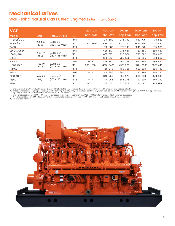# **Mechanical Drives**

Waukesha Natural Gas Fueled Engines (Intermittent Duty)

| <b>VGF</b>             |                        |                                                                 |       | 1200 rpm<br>bhp kWb | 1400 rpm<br>bhp kWb | 1500 rpm<br>bhp kWb | 1600 rpm<br>bhp kWb               | 1800 rpm<br>bhp kWb |
|------------------------|------------------------|-----------------------------------------------------------------|-------|---------------------|---------------------|---------------------|-----------------------------------|---------------------|
| Model                  | Disp.                  | <b>Bore &amp; Stroke</b>                                        | C.R.  |                     |                     |                     |                                   |                     |
| P48GSI/GSID            | $2924$ in <sup>3</sup> | $5.98 \times 6.5$ "                                             | 8.6:1 |                     | 910 680             | 975 730             | 1040 775                          | 1175 880            |
| P48GL/GLD              | (48L)                  | (152 x 165 mm)                                                  | 11:1  | 7854 5854           | 9104 6804           | 9754 7304           | 10404 7754                        | 11754 8804          |
| P48GL                  |                        |                                                                 | 8.7:1 |                     | 910 680             | 975 730             | 1040 775                          | 1175 880            |
| L36GSI/GSID            |                        | $2193$ in <sup>3</sup><br>$5.98 \times 6.5$ "<br>(152 x 165 mm) | 8.6:1 |                     | 685 510             | 735 550             | 780 580                           | 880 660             |
| L36GL/GLD              | (36 L)                 |                                                                 | 11:1  |                     | 685 510             | 735 550             | 780 580                           | 880 660             |
| L36GL                  |                        |                                                                 | 8.7:1 |                     | 685 510             | 735 550             | 780 580                           | 880 660             |
| H <sub>24</sub> SE     |                        |                                                                 | 8.6:1 |                     | 455 340             | 490 365             | 520 390                           | 585 440             |
| H <sub>24GL</sub> /GLD | 1462 in $3$<br>(24L)   | $5.98 \times 6.5$ "<br>(152 x 165 mm)                           | 11:1  | 3954 2904           | 4554 3404           | 4904 3654           | 520 <sup>4</sup> 390 <sup>4</sup> | 5854 4404           |
| H <sub>24GL</sub>      |                        |                                                                 | 8.7:1 |                     | 455 340             | 490 365             | 520 390                           | 585 440             |
| F18SE                  |                        |                                                                 | 8.6:1 |                     | 340 255             | 365 275             | 390 290                           | 440 330             |
| F18GL/GLD              | $1096$ in <sup>3</sup> | $5.98 \times 6.5$ "                                             | 11:1  |                     | 340 255             | 365 275             | 390 290                           | 440 330             |
| F18GL                  | (18 L)                 | (152 x 165 mm)                                                  | 8.7:1 |                     | 340 255             | 365 275             | 390 290                           | 440 330             |
| F18G                   |                        |                                                                 | 11:1  | 180 130             | 205 155             | 220 165             | 240 180                           | 265 195             |

1) Engine available with Low Fuel Pressure System (LFPS) with the same ratings. Refer to Technical Data for LFPS ambient and altitude adjustments.<br>3) These power ratings require pricebook option Code 100 (176 BMEP). They a

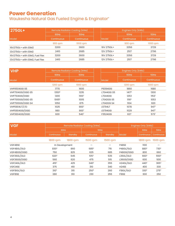# **Power Generation**

Waukesha Natural Gas Fueled Engine & Enginator\*

| 275GL+                         |                   | Remote Radiator Cooling (kWe) |            | Engines Only (kWb)                     |          |  |  |  |
|--------------------------------|-------------------|-------------------------------|------------|----------------------------------------|----------|--|--|--|
|                                | 60Hz              | 50Hz                          |            | 60Hz                                   | 50Hz     |  |  |  |
| Model                          | <b>Continuous</b> | <b>Continuous</b>             | Model      | <b>Continuous</b><br><b>Continuous</b> |          |  |  |  |
|                                | 900 rpm           | 1000 rpm                      |            | 900 rpm                                | 1000 rpm |  |  |  |
| 16V275GL+ with ESM2            | 3200              | 3600                          | 16V 275GL+ | 3356                                   | 3729     |  |  |  |
| 12V275GL+ with ESM2            | 2410              | 2685                          | 12V 275GL+ | 2517                                   | 2796     |  |  |  |
| 16V275GL+ with ESM2, Fuel Flex | 3200              | 3600                          | 16V 275GL+ | 3356                                   | 3729     |  |  |  |
| 12V275GL+ with ESM2, Fuel Flex | 2410              | 2685                          | 12V 275GL+ | 2517                                   | 2796     |  |  |  |

| <b>VHP</b>           |                   | Remote Radiator Cooling (kWe) |                 | Engines Only (kWb) |                   |  |  |  |
|----------------------|-------------------|-------------------------------|-----------------|--------------------|-------------------|--|--|--|
|                      | 60Hz              | 50Hz                          |                 | 60Hz               | <b>50Hz</b>       |  |  |  |
| Model                | <b>Continuous</b> | <b>Continuous</b>             | Model           | <b>Continuous</b>  | <b>Continuous</b> |  |  |  |
|                      | 1200 rpm          | 1000 rpm                      |                 | 1200 rpm           | 1000 rpm          |  |  |  |
| <b>VHP9504GSI S5</b> | 1770              | 1600                          | P9394GSI        | 1860               | 1680              |  |  |  |
| VHP7104GSI/GSID S5   | 13506             | 1235                          | L7044GSI S5     | 14176              | 1300              |  |  |  |
| VHP7104GSI/GSID      | 1200              | 1100 <sup>7</sup>             | <b>L7044GSI</b> | 1253               | 1153 <sup>7</sup> |  |  |  |
| VHP7100GSI/GSID S5   | 1065 <sup>6</sup> | 1005                          | L7042GSI S5     | 1116 <sup>6</sup>  | 1053              |  |  |  |
| VHP7100GSI/GSID S4   | 1050              | 875                           | L7042GSI S4     | 1104               | 920               |  |  |  |
| VHP5904LT/LTD        | 1025              | 900 <sup>7</sup>              | L5794LT         | 1078               | 9477              |  |  |  |
| VHP5904GSI/GSID      | 980               | 900 <sup>7</sup>              | L5794GSI        | 1029               | 9477              |  |  |  |
| VHP3604GSI/GSID      | 600               | 540 <sup>7</sup>              | F3524GSI        | 627                | 573 <sup>7</sup>  |  |  |  |

| <b>VGF</b>    |                   |          | Remote Radiator Cooling (kWe) |          | Engines Only (kWb)     |                   |                   |  |
|---------------|-------------------|----------|-------------------------------|----------|------------------------|-------------------|-------------------|--|
|               | 60Hz              |          | 50Hz                          |          |                        | 60Hz              | 50Hz              |  |
| Model         | <b>Continuous</b> | Standby  | Continuous                    | Standby  | Model                  | <b>Continuous</b> | <b>Continuous</b> |  |
|               | 1800 rpm          | 1800 rpm | 1500 rpm                      | 1500 rpm |                        | 1800 rpm          | 1500 rpm          |  |
| VGF48SE       | In Development    |          |                               | —        | P48SE                  | 1100              |                   |  |
| VGF48GL/GLD   | 8303              | 860      | $685^{3}$                     | 715      | P48GL/GLD              | 8803              | 730 <sup>3</sup>  |  |
| VGF48GSI/GSID | 750               | 825      | 625                           | 685      | P48GSI/GSID            | 800               | 660               |  |
| VGF36GL/GLD   | 6203              | 645      | 515 <sup>3</sup>              | 535      | L36GL/GLD              | 6603              | 5503              |  |
| VGF36GSI/GSID | 560               | 620      | 475                           | 515      | L36GSI/GSID            | 600               | 500               |  |
| VGF24GL/GLD   | 415 <sup>3</sup>  | 425      | 340 <sup>3</sup>              | 355      | H <sub>24GL</sub> /GLD | 440 <sup>3</sup>  | 365 <sup>3</sup>  |  |
| VGF24SE       | 375               | 410      | 310                           | 340      | <b>H24SE</b>           | 400               | 330               |  |
| VGF18GL/GLD   | 310 <sup>3</sup>  | 315      | 250 <sup>3</sup>              | 260      | F18GL/GLD              | 330 <sup>3</sup>  | 275 <sup>3</sup>  |  |
| VGF18SE       | 280               | 310      | 230                           | 255      | F18SE                  | 300               | 250               |  |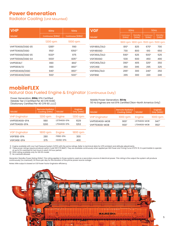## **Power Generation**

Radiator Cooling (Unit Mounted)

| <b>VHP</b>         | 60Hz              | <b>50Hz</b>         | <b>VGF</b><br>60Hz |                     |                  | 50Hz                                |                  |
|--------------------|-------------------|---------------------|--------------------|---------------------|------------------|-------------------------------------|------------------|
| Model              | Continuous (kWe)  | Continuous (kWe)    | Model              | Continuous<br>(kWe) | Standby<br>(kWe) | Continuous<br>(kWe)                 | Standby<br>(kWe) |
|                    | 1200 rpm          | 1000 rpm            |                    |                     |                  | 1800 rpm 1800 rpm 1500 rpm 1500 rpm |                  |
| VHP7104GSI/GSID S5 | 1285 <sup>6</sup> | 1190                | VGF48GL/GLD        | 810 <sup>3</sup>    | 825              | 6703                                | 700              |
| VHP7104GSI/GSID    | 1150 <sup>1</sup> | 1050 <sup>1,7</sup> | VGF48GSID          | 730                 | 800              | 610                                 | 650              |
| VHP7100GSI/GSID S5 | 10206             | 975                 | VGF36GL/GLD        | 5903                | 625              | 500 <sup>3</sup>                    | 525              |
| VHP7100GSI/GSID S4 | 1000 <sup>1</sup> | 8351,7              | VGF36GSID          | 530                 | 600              | 450                                 | 490              |
| VHP5904LT          | 990               | 8607                | VGF24GL/GLD        | 390 <sup>3</sup>    | 405              | 325 <sup>3</sup>                    | 350              |
| VHP5904LTD         | 990               | 8601,7              | VGF24SE            | 350                 | 395              | 295                                 | 325              |
| VHP5904GSI/GSID    | 940 <sup>1</sup>  | 8601,7              | VGF18GL/GLD        | 295 <sup>3</sup>    | 300              | 240 <sup>3</sup>                    | 250              |
| VHP3604GSI/GSID    | 560               | 50017               | VGF18SE            | 265                 | 300              | 220                                 | 240              |

## **mobileFLEX** Natural Gas Fueled Engine & Enginator (Continuous Duty)

Power Generation, **60Hz**, EPA Certified (Mobile Tier 2 Certified Per 40 CFR 1048) (Stationary Certified Per 40 CFR 60 JJJJ)

Mobile Power Generation, **50 Hz** 50 Hz Engines are not EPA Certified (Non-North America Only)

| Model                | <b>Remote Radiator</b><br>Cooling (kWe) | Model                  | <b>Engines</b><br>Only (kWb) |
|----------------------|-----------------------------------------|------------------------|------------------------------|
| <b>VHP Enginator</b> | 1200 rpm                                | Engine                 | 1200 rpm                     |
| VHP5904GSI-EPA       | 980                                     | L5794GSI-EPA           | 1029                         |
| VHP7104GSI-EPA       | 1200                                    | L7044GSI-EPA           | 1253                         |
|                      |                                         |                        |                              |
| <b>VGF Enginator</b> | 1800 rpm                                | Engine                 | 1800 rpm                     |
| VGF18SE-EPA          | 280                                     | F18SE-EPA              | 300                          |
| VGF24SE-EPA          | 375                                     | H <sub>24</sub> SE-EPA | 400                          |

| Model                | <b>Remote Radiator</b><br>Cooling (kWe) | Model        |                   |
|----------------------|-----------------------------------------|--------------|-------------------|
| <b>VHP Enginator</b> | 1000 rpm                                | Engine       | 1000 rpm          |
| VHP5904GSI-MOB       | 900 <sup>7</sup>                        | L5794GSI-MOB | 9477              |
| VHP7104GSI-MOB       | 11007                                   | L7044GSI-MOB | 1153 <sup>7</sup> |

1) Engine available with Low Fuel Pressure System (LFPS) with the same ratings. Refer to technical data for LFPS ambient and altitude adjustments.<br>3) These power ratings require pricebook option Code 1100 (176 BMEP). They

6) 60Hz rating available only for GSI S5 model.

6) 60Hz rating available<br>7) No overload allowed.

Generator Standby Power Rating (kWe): This rating applies to those systems used as a secondary source of electrical power. This rating is the output the system will produce<br>continuously (no overload), 24 hours per day for

Notes: kWe output is based on 0.8 Power Factor Enginator efficiency.

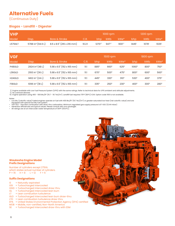# **Alternative Fuels**

(Continuous Duty)

## **Biogas - Landfill - Digester**

| <b>VHP</b> |                               |                           |        | $1000$ rpm          |                    |                    | $1200$ rpm      |                     |                  |
|------------|-------------------------------|---------------------------|--------|---------------------|--------------------|--------------------|-----------------|---------------------|------------------|
| Model      | Disp.                         | Bore & Stroke             | C.R.   | i bhp kWb '         |                    | kWe*               | bh <sub>p</sub> | kWb                 | kWe <sup>*</sup> |
| L5794LT    | 5788 in <sup>3</sup> (94.9 L) | 8.5 x 8.5" (216 x 216 mm) | 10.2:1 | 1270 <sup>1,7</sup> | 947 <sup>1,7</sup> | 900 <sup>1,7</sup> | 1445            | $1078$ <sup>1</sup> | $1025^{\circ}$   |

| <b>IVGF</b>         |                               |                                    |      | 1500 rpm          |                   |                     |                   | 1800 rpm          |                   |  |
|---------------------|-------------------------------|------------------------------------|------|-------------------|-------------------|---------------------|-------------------|-------------------|-------------------|--|
| Model               | Disp.                         | <b>Bore &amp; Stroke</b>           | C.R. | bhp               | kWb               | kWe*                | bhp               | kWb               | kWe*              |  |
| P48GLD              | 2924 in <sup>3</sup> (48 L)   | $5.98 \times 6.5$ " (152 x 165 mm) | 11:1 | 885 <sup>11</sup> | 660 <sup>11</sup> | $625$ <sup>11</sup> | 10601             | 800               | 750 <sup>11</sup> |  |
| L36GLD              | $2193$ in <sup>3</sup> (36 L) | $5.98 \times 6.5$ " (152 x 165 mm) | 11:1 | 67011             | 500 <sup>11</sup> | 475                 | 800               | 600 <sup>11</sup> | 560 <sup>11</sup> |  |
| H <sub>24</sub> GLD | 1462 in <sup>3</sup> $(24 L)$ | $5.98 \times 6.5$ " (152 x 165 mm) | 11:1 | 445               | 33011             | 310 <sup>11</sup>   | 530 <sup>11</sup> | 400               | 375 <sup>11</sup> |  |
| F18GLD              | 1096 in <sup>3</sup> (18 L)   | $5.98 \times 6.5$ " (152 x 165 mm) | 11:1 | 335 <sup>11</sup> | 250 <sup>11</sup> | 23011               | 400               | 300 <sup>11</sup> | 28011             |  |

1) Engine available with Low Fuel Pressure System (LFPS) with the same ratings. Refer to technical data for LFPS ambient and altitude adjustments.

7) No overload allowed.<br>11) Engine operation using 400 - 500 Btu/ft3 (15.7 - 19.7 MJ/m3). Landfill fuel requires 175°F (80°C) ICW. Option code 1100 is not available.

Notes: • Low Btu (calorific value) fueled engines operate on fuel with 400 Btu/ft3 (15.7 MJ//m3) or greater saturated low heat (net calorific value) and are equipped with special low Btu fuel system.

• VGF GLD - Gas lean combustion with draw-thru carburetion. Minimum regulated gas supply pressure is 8" H2O (12.44 mbar)

• Generator efficiencies are typical values. Please consult with your packager. • All ratings are at an intercooler water temperature of 130°F (54.4°C).

#### **Waukesha Engine Model Prefix Designations**

Number of cylinders except 275GL which states actual number of cylinders.<br> $P = 16$   $H = 8$   $L = 12$   $F = 6$  $P = 16$  H = 8 L = 12

#### **Suffix Designations**

- G = Naturally aspirated
- GSI = Turbocharged intercooled
- GSID = Turbocharged intercooled draw-thru
- $GL = Turbocharged$  intercooled lean burn<br> $LT = Lean$  combustion turbulence
- = Lean combustion turbulence
- GLD = Turbocharged intercooled lean burn draw-thru
- LTD = Lean combustion turbulence draw-thru
- EPA = United States Environmental Protection Agency (EPA) certified
- MOB = Mobile, non-certified, Non-North America<br>SE = Turbocharged intercooled draw-thru with
- = Turbocharged intercooled draw-thru with ESM

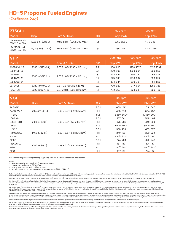## **HD-5 Propane Fueled Engines**

(Continuous Duty)

| 275GL+                            |                                  |                                       |      | 900 rpm   | $1000$ rpm |
|-----------------------------------|----------------------------------|---------------------------------------|------|-----------|------------|
| <b>Model</b>                      | Disp.                            | Bore & Stroke                         | C.R. | bhp kWb   | bhp kWb    |
| 16V275GL+ with<br>ESM2, Fuel Flex | 17,398 in <sup>3</sup> (285 L)   | $10.83 \times 11.81$ " (275 x 300 mm) | 8:1  | 3750 2800 | 4175 3115  |
| 12V275GL+ with<br>ESM2, Fuel Flex | 13,048 in <sup>3</sup> (213.9 L) | $10.83 \times 11.81$ " (275 x 300 mm) | 8:1  | 2812 2100 | 3130 2336  |

| <b>VHP</b>  |                                |                                     |       | 900 rpm   | 1000 rpm  | $1200$ rpm |
|-------------|--------------------------------|-------------------------------------|-------|-----------|-----------|------------|
| Model       | Disp.                          | <b>Bore &amp; Stroke</b>            | C.R.  | bhp kWb   | bhp kWb   | bhp kWb    |
| P9394GSI S5 | 9388 in <sup>3</sup> (153.9 L) | $9.375 \times 8.5$ " (238 x 216 mm) | 9.7:1 | 1600 1193 | 1780 1327 | 2135 1592  |
| L7044GSI S5 | 7040 in <sup>3</sup> (115.4 L) | $9.375 \times 8.5$ " (238 x 216 mm) | 9.7:1 | 1200 895  | 1333 994  | 1600 1193  |
| L7044GSI    |                                |                                     | 8:1   | 864 644   | 960 716   | 1152 859   |
| L7042GSI S5 |                                |                                     | 9.7:1 | 1125 839  | 1250 932  | 1500 1119  |
| L7042GSI S4 |                                |                                     | 8:1   | 864 644   | 960 716   | 1152 859   |
| L5794GSI    | 5788 in <sup>3</sup> (94.9 L)  | $8.5 \times 8.5$ " (216 x 216 mm)   | 8.2:1 | 789 588   | 877 654   | 1052 785   |
| F3524GSI    | 3520 in <sup>3</sup> (57.7 L)  | $9.375 \times 8.5$ " (238 x 216 mm) | 8:1   | 472 352   | 524 391   | 629 469    |

| <b>VGF</b>         |                                    |                                    |       | 1500 rpm                            | 1800 rpm                             |
|--------------------|------------------------------------|------------------------------------|-------|-------------------------------------|--------------------------------------|
| Model              | Disp.                              | Bore & Stroke                      | C.R.  | bhp kWb                             | bhp kWb                              |
| P48GSID            |                                    |                                    | 8.6:1 | 609 454                             | 731 545                              |
| P48GL/GLD          | $2924 \text{ in}^3 (48 \text{ L})$ | $5.98 \times 6.5$ " (152 x 165 mm) | 11:1  | 496 370                             | 604 450                              |
| P48GL              |                                    |                                    | 8.7:1 | 885 <sup>19</sup> 660 <sup>19</sup> | 1065 <sup>19</sup> 800 <sup>19</sup> |
| L36GSID            |                                    |                                    | 8.6:1 | 457 341                             | 548 409                              |
| L36GL/GLD          | $2193$ in <sup>3</sup> (36 L)      | $5.98 \times 6.5$ " (152 x 165 mm) | 11:1  | 376 280                             | 442 330                              |
| L36GL              |                                    |                                    | 8.7:1 | 670 <sup>19</sup> 500 <sup>19</sup> | 800 <sup>19</sup> 600 <sup>19</sup>  |
| H <sub>24</sub> SE |                                    |                                    | 8.6:1 | 366 273                             | 439 327                              |
| H24GL/GLD          | 1462 in <sup>3</sup> (24 L)        | $5.98 \times 6.5$ " (152 x 165 mm) | 11:1  | 249 186                             | 299 223                              |
| H <sub>24GL</sub>  |                                    |                                    | 8.7:1 | 445 <sup>19</sup> 330 <sup>19</sup> | 530 <sup>19</sup> 400 <sup>19</sup>  |
| F18SE              |                                    |                                    | 8.6:1 | 274 204                             | 329 246                              |
| F18GL/GLD          | 1096 in <sup>3</sup> (18 L)        | $5.98 \times 6.5$ " (152 x 165 mm) | 11:1  | 187 139                             | 224 167                              |
| F18GL              |                                    |                                    | 8.7:1 | 335 <sup>19</sup> 250 <sup>19</sup> | 400 <sup>19</sup> 300 <sup>19</sup>  |
| F18G               |                                    |                                    | 11:1  | 187 139                             | 224 167                              |

19) Contact Application Engineering regarding stability in Power Generation applications

Notes:

• No overload allowed on all HD-5 propane ratings. • Requires a minimum of 34 WKI fuel.

• Engine may require optional fuel system.<br>• All ratings are at an intercooler water ten

All ratings are at an intercooler water temperature of 130°F (54.4°C).

Rating Standard: All models: Ratings contorm to ISO 304611 (latest version) with a mechanical efficiency of 90% and auxiliary water temperature, Tora, as specified in the Power Rating Chart, Bulletin 1079 (latest version)

Fuel Standard: All natural gas engine ratings are based on 900 BTU/ft<sup>3</sup> (35.38 MJ/m<sup>3</sup> [25, V(0; 101.325)]) SLHV, 91 WKI minimum, commercial quality natural gas. Refer to S-7884-7 (latest version) for full gaseous fuel sp

ISO Standard Power (Continuous Power Rating): The highest load and speed that can be applied 24 hours per day, seven days per week, 365 days per year except for normal maintenance at ISO standard ambient reference conditio otherwise stated, at ISO standard ambient reference conditions, it is permissible to operate the engine at up to 110% of the ISO standard Power or the maximum power indicated by the intermittent rating, whichever is lower, hour period.

ISO Service Power (Site Continuous Power Rating): The highest load and speed that can be applied 24 hours per day, seven days per week, 365 days per year except for normal maintenance at the operating and ambient condition

Overload Power. Ine power that an engine is permitted to supply, with a duration and trequency of use depending upon the service application, at stated ambient conditions, immediately after operating at its ISO Service Pow

Intermittent Power Rating: The highest load and speed that can be applied in variable speed mechanical system applications only. Operation at this rating is limited to a maximum of 3500 hours per year.

Generator Continuous Power Kating (KWe): Ine nignest load and speed which can be applied 24 nours per day, seven days per week, 365 days per year except for normal maintenance. Unless otherwise stated, it is permissible to

Generator Standby Power Rating (KWe): This rating applies to those systems used as a secondary source of electrical power. This rating is the output the system will produce continuously 24 hours per day for the duration of